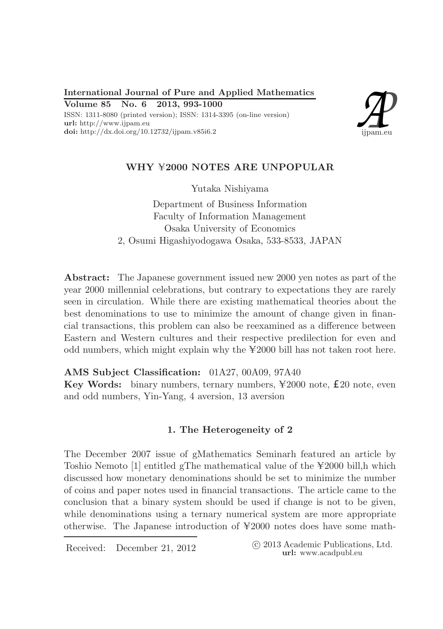International Journal of Pure and Applied Mathematics Volume 85 No. 6 2013, 993-1000 ISSN: 1311-8080 (printed version); ISSN: 1314-3395 (on-line version) url: http://www.ijpam.eu doi: http://dx.doi.org/10.12732/ijpam.v85i6.2



# WHY  $42000$  NOTES ARE UNPOPULAR

Yutaka Nishiyama

Department of Business Information Faculty of Information Management Osaka University of Economics 2, Osumi Higashiyodogawa Osaka, 533-8533, JAPAN

Abstract: The Japanese government issued new 2000 yen notes as part of the year 2000 millennial celebrations, but contrary to expectations they are rarely seen in circulation. While there are existing mathematical theories about the best denominations to use to minimize the amount of change given in financial transactions, this problem can also be reexamined as a difference between Eastern and Western cultures and their respective predilection for even and odd numbers, which might explain why the  $\text{\yen}2000$  bill has not taken root here.

AMS Subject Classification: 01A27, 00A09, 97A40 Key Words: binary numbers, ternary numbers,  $\text{\textsterling}2000$  note,  $\text{\textsterling}20$  note, even and odd numbers, Yin-Yang, 4 aversion, 13 aversion

## 1. The Heterogeneity of 2

The December 2007 issue of gMathematics Seminarh featured an article by Toshio Nemoto  $[1]$  entitled gThe mathematical value of the  $\text{\yen}2000$  bill,h which discussed how monetary denominations should be set to minimize the number of coins and paper notes used in financial transactions. The article came to the conclusion that a binary system should be used if change is not to be given, while denominations using a ternary numerical system are more appropriate otherwise. The Japanese introduction of  $\yen$ 2000 notes does have some math-

Received: December 21, 2012 <sup>c</sup> 2013 Academic Publications, Ltd. url: www.acadpubl.eu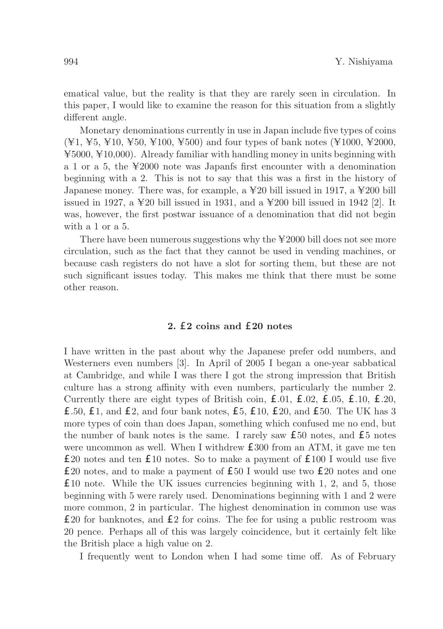ematical value, but the reality is that they are rarely seen in circulation. In this paper, I would like to examine the reason for this situation from a slightly different angle.

Monetary denominations currently in use in Japan include five types of coins  $(\yen 1, \yen 5, \yen 10, \yen 50, \yen 100, \yen 500)$  and four types of bank notes ( $\yen 1000, \yen 2000,$  $\text{\yen}5000$ ,  $\text{\yen}10,000$ ). Already familiar with handling money in units beginning with a 1 or a 5, the  $\text{\yen}2000$  note was Japanfs first encounter with a denomination beginning with a 2. This is not to say that this was a first in the history of Japanese money. There was, for example, a  $\yen$  20 bill issued in 1917, a  $\yen$  200 bill issued in 1927, a  $\yen$  20 bill issued in 1931, and a  $\yen$  200 bill issued in 1942 [2]. It was, however, the first postwar issuance of a denomination that did not begin with a 1 or a 5.

There have been numerous suggestions why the  $\text{\textless} 2000$  bill does not see more circulation, such as the fact that they cannot be used in vending machines, or because cash registers do not have a slot for sorting them, but these are not such significant issues today. This makes me think that there must be some other reason.

### 2. £2 coins and £20 notes

I have written in the past about why the Japanese prefer odd numbers, and Westerners even numbers [3]. In April of 2005 I began a one-year sabbatical at Cambridge, and while I was there I got the strong impression that British culture has a strong affinity with even numbers, particularly the number 2. Currently there are eight types of British coin, £.01, £.02, £.05, £.10, £.20, £.50, £1, and £2, and four bank notes, £5, £10, £20, and £50. The UK has 3 more types of coin than does Japan, something which confused me no end, but the number of bank notes is the same. I rarely saw £50 notes, and £5 notes were uncommon as well. When I withdrew £300 from an ATM, it gave me ten £20 notes and ten £10 notes. So to make a payment of £100 I would use five £20 notes, and to make a payment of £50 I would use two £20 notes and one £10 note. While the UK issues currencies beginning with 1, 2, and 5, those beginning with 5 were rarely used. Denominations beginning with 1 and 2 were more common, 2 in particular. The highest denomination in common use was £20 for banknotes, and £2 for coins. The fee for using a public restroom was 20 pence. Perhaps all of this was largely coincidence, but it certainly felt like the British place a high value on 2.

I frequently went to London when I had some time off. As of February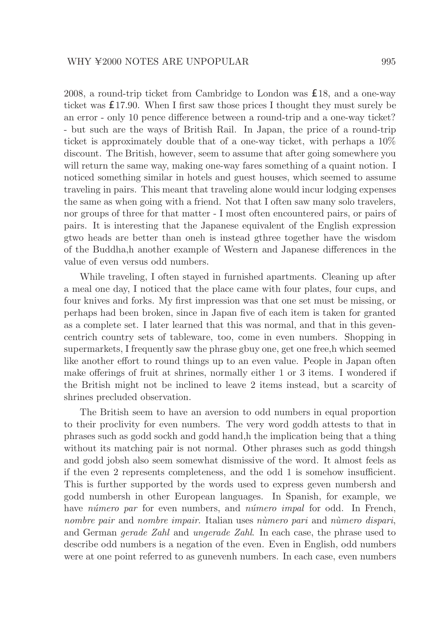2008, a round-trip ticket from Cambridge to London was £18, and a one-way ticket was £17.90. When I first saw those prices I thought they must surely be an error - only 10 pence difference between a round-trip and a one-way ticket? - but such are the ways of British Rail. In Japan, the price of a round-trip ticket is approximately double that of a one-way ticket, with perhaps a 10% discount. The British, however, seem to assume that after going somewhere you will return the same way, making one-way fares something of a quaint notion. I noticed something similar in hotels and guest houses, which seemed to assume traveling in pairs. This meant that traveling alone would incur lodging expenses the same as when going with a friend. Not that I often saw many solo travelers, nor groups of three for that matter - I most often encountered pairs, or pairs of pairs. It is interesting that the Japanese equivalent of the English expression gtwo heads are better than oneh is instead gthree together have the wisdom of the Buddha,h another example of Western and Japanese differences in the value of even versus odd numbers.

While traveling, I often stayed in furnished apartments. Cleaning up after a meal one day, I noticed that the place came with four plates, four cups, and four knives and forks. My first impression was that one set must be missing, or perhaps had been broken, since in Japan five of each item is taken for granted as a complete set. I later learned that this was normal, and that in this gevencentrich country sets of tableware, too, come in even numbers. Shopping in supermarkets, I frequently saw the phrase gbuy one, get one free,h which seemed like another effort to round things up to an even value. People in Japan often make offerings of fruit at shrines, normally either 1 or 3 items. I wondered if the British might not be inclined to leave 2 items instead, but a scarcity of shrines precluded observation.

The British seem to have an aversion to odd numbers in equal proportion to their proclivity for even numbers. The very word goddh attests to that in phrases such as godd sockh and godd hand,h the implication being that a thing without its matching pair is not normal. Other phrases such as godd thingsh and godd jobsh also seem somewhat dismissive of the word. It almost feels as if the even 2 represents completeness, and the odd 1 is somehow insufficient. This is further supported by the words used to express geven numbersh and godd numbersh in other European languages. In Spanish, for example, we have *número par* for even numbers, and *número impal* for odd. In French, nombre pair and nombre impair. Italian uses nàmero pari and nàmero dispari, and German gerade Zahl and ungerade Zahl. In each case, the phrase used to describe odd numbers is a negation of the even. Even in English, odd numbers were at one point referred to as gunevenh numbers. In each case, even numbers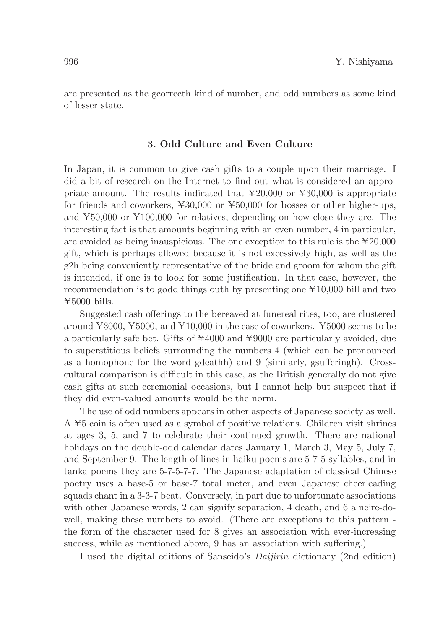are presented as the gcorrecth kind of number, and odd numbers as some kind of lesser state.

#### 3. Odd Culture and Even Culture

In Japan, it is common to give cash gifts to a couple upon their marriage. I did a bit of research on the Internet to find out what is considered an appropriate amount. The results indicated that  $\text{\yen}20,000$  or  $\text{\yen}30,000$  is appropriate for friends and coworkers,  $\yen 30,000$  or  $\yen 50,000$  for bosses or other higher-ups, and  $\text{\textsterling}50,000$  or  $\text{\textsterling}100,000$  for relatives, depending on how close they are. The interesting fact is that amounts beginning with an even number, 4 in particular, are avoided as being inauspicious. The one exception to this rule is the  $\text{\yen}20,000$ gift, which is perhaps allowed because it is not excessively high, as well as the g2h being conveniently representative of the bride and groom for whom the gift is intended, if one is to look for some justification. In that case, however, the recommendation is to godd things outh by presenting one  $\text{\textless}10,000$  bill and two  $\text{\yen}5000$  bills.

Suggested cash offerings to the bereaved at funereal rites, too, are clustered around  $\text{\textless} 3000, \text{\textless} 5000$ , and  $\text{\textless} 10,000$  in the case of coworkers.  $\text{\textless} 5000$  seems to be a particularly safe bet. Gifts of  $\yen$ 4000 and  $\yen$ 9000 are particularly avoided, due to superstitious beliefs surrounding the numbers 4 (which can be pronounced as a homophone for the word gdeathh) and 9 (similarly, gsufferingh). Crosscultural comparison is difficult in this case, as the British generally do not give cash gifts at such ceremonial occasions, but I cannot help but suspect that if they did even-valued amounts would be the norm.

The use of odd numbers appears in other aspects of Japanese society as well.  $A \not\equiv 5$  coin is often used as a symbol of positive relations. Children visit shrines at ages 3, 5, and 7 to celebrate their continued growth. There are national holidays on the double-odd calendar dates January 1, March 3, May 5, July 7, and September 9. The length of lines in haiku poems are 5-7-5 syllables, and in tanka poems they are 5-7-5-7-7. The Japanese adaptation of classical Chinese poetry uses a base-5 or base-7 total meter, and even Japanese cheerleading squads chant in a 3-3-7 beat. Conversely, in part due to unfortunate associations with other Japanese words, 2 can signify separation, 4 death, and 6 a ne're-dowell, making these numbers to avoid. (There are exceptions to this pattern the form of the character used for 8 gives an association with ever-increasing success, while as mentioned above, 9 has an association with suffering.)

I used the digital editions of Sanseido's Daijirin dictionary (2nd edition)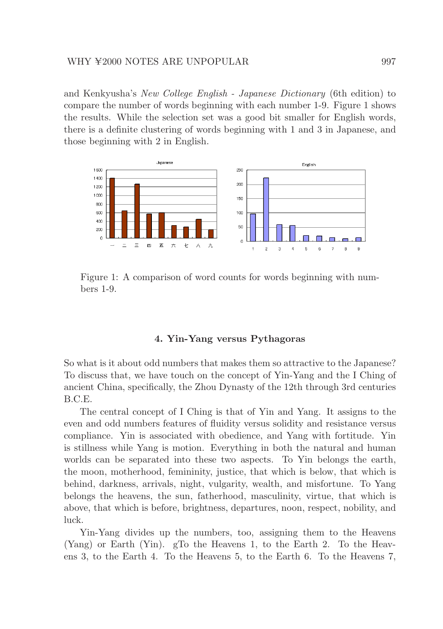#### WHY ¥2000 NOTES ARE UNPOPULAR 997

and Kenkyusha's New College English - Japanese Dictionary (6th edition) to compare the number of words beginning with each number 1-9. Figure 1 shows the results. While the selection set was a good bit smaller for English words, there is a definite clustering of words beginning with 1 and 3 in Japanese, and those beginning with 2 in English.



Figure 1: A comparison of word counts for words beginning with numbers 1-9.

#### 4. Yin-Yang versus Pythagoras

So what is it about odd numbers that makes them so attractive to the Japanese? To discuss that, we have touch on the concept of Yin-Yang and the I Ching of ancient China, specifically, the Zhou Dynasty of the 12th through 3rd centuries B.C.E.

The central concept of I Ching is that of Yin and Yang. It assigns to the even and odd numbers features of fluidity versus solidity and resistance versus compliance. Yin is associated with obedience, and Yang with fortitude. Yin is stillness while Yang is motion. Everything in both the natural and human worlds can be separated into these two aspects. To Yin belongs the earth, the moon, motherhood, femininity, justice, that which is below, that which is behind, darkness, arrivals, night, vulgarity, wealth, and misfortune. To Yang belongs the heavens, the sun, fatherhood, masculinity, virtue, that which is above, that which is before, brightness, departures, noon, respect, nobility, and luck.

Yin-Yang divides up the numbers, too, assigning them to the Heavens (Yang) or Earth (Yin). gTo the Heavens 1, to the Earth 2. To the Heavens 3, to the Earth 4. To the Heavens 5, to the Earth 6. To the Heavens 7,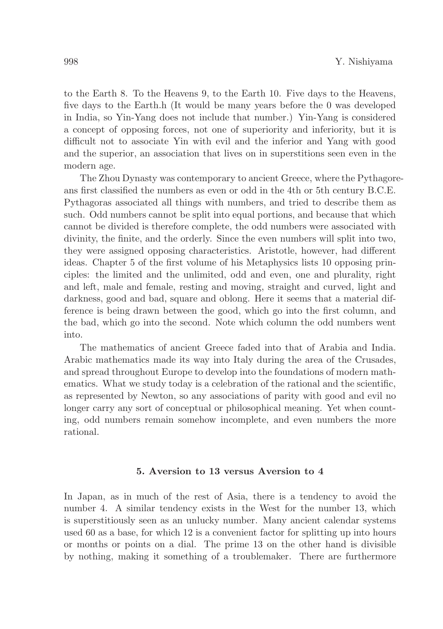to the Earth 8. To the Heavens 9, to the Earth 10. Five days to the Heavens, five days to the Earth.h (It would be many years before the 0 was developed in India, so Yin-Yang does not include that number.) Yin-Yang is considered a concept of opposing forces, not one of superiority and inferiority, but it is difficult not to associate Yin with evil and the inferior and Yang with good and the superior, an association that lives on in superstitions seen even in the modern age.

The Zhou Dynasty was contemporary to ancient Greece, where the Pythagoreans first classified the numbers as even or odd in the 4th or 5th century B.C.E. Pythagoras associated all things with numbers, and tried to describe them as such. Odd numbers cannot be split into equal portions, and because that which cannot be divided is therefore complete, the odd numbers were associated with divinity, the finite, and the orderly. Since the even numbers will split into two, they were assigned opposing characteristics. Aristotle, however, had different ideas. Chapter 5 of the first volume of his Metaphysics lists 10 opposing principles: the limited and the unlimited, odd and even, one and plurality, right and left, male and female, resting and moving, straight and curved, light and darkness, good and bad, square and oblong. Here it seems that a material difference is being drawn between the good, which go into the first column, and the bad, which go into the second. Note which column the odd numbers went into.

The mathematics of ancient Greece faded into that of Arabia and India. Arabic mathematics made its way into Italy during the area of the Crusades, and spread throughout Europe to develop into the foundations of modern mathematics. What we study today is a celebration of the rational and the scientific, as represented by Newton, so any associations of parity with good and evil no longer carry any sort of conceptual or philosophical meaning. Yet when counting, odd numbers remain somehow incomplete, and even numbers the more rational.

### 5. Aversion to 13 versus Aversion to 4

In Japan, as in much of the rest of Asia, there is a tendency to avoid the number 4. A similar tendency exists in the West for the number 13, which is superstitiously seen as an unlucky number. Many ancient calendar systems used 60 as a base, for which 12 is a convenient factor for splitting up into hours or months or points on a dial. The prime 13 on the other hand is divisible by nothing, making it something of a troublemaker. There are furthermore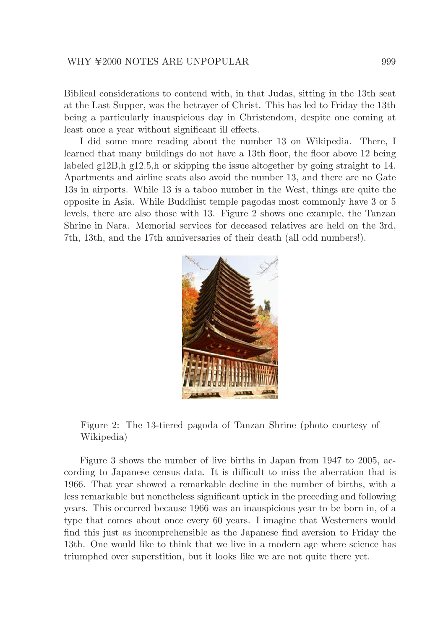Biblical considerations to contend with, in that Judas, sitting in the 13th seat at the Last Supper, was the betrayer of Christ. This has led to Friday the 13th being a particularly inauspicious day in Christendom, despite one coming at least once a year without significant ill effects.

I did some more reading about the number 13 on Wikipedia. There, I learned that many buildings do not have a 13th floor, the floor above 12 being labeled g12B,h g12.5,h or skipping the issue altogether by going straight to 14. Apartments and airline seats also avoid the number 13, and there are no Gate 13s in airports. While 13 is a taboo number in the West, things are quite the opposite in Asia. While Buddhist temple pagodas most commonly have 3 or 5 levels, there are also those with 13. Figure 2 shows one example, the Tanzan Shrine in Nara. Memorial services for deceased relatives are held on the 3rd, 7th, 13th, and the 17th anniversaries of their death (all odd numbers!).



Figure 2: The 13-tiered pagoda of Tanzan Shrine (photo courtesy of Wikipedia)

Figure 3 shows the number of live births in Japan from 1947 to 2005, according to Japanese census data. It is difficult to miss the aberration that is 1966. That year showed a remarkable decline in the number of births, with a less remarkable but nonetheless significant uptick in the preceding and following years. This occurred because 1966 was an inauspicious year to be born in, of a type that comes about once every 60 years. I imagine that Westerners would find this just as incomprehensible as the Japanese find aversion to Friday the 13th. One would like to think that we live in a modern age where science has triumphed over superstition, but it looks like we are not quite there yet.